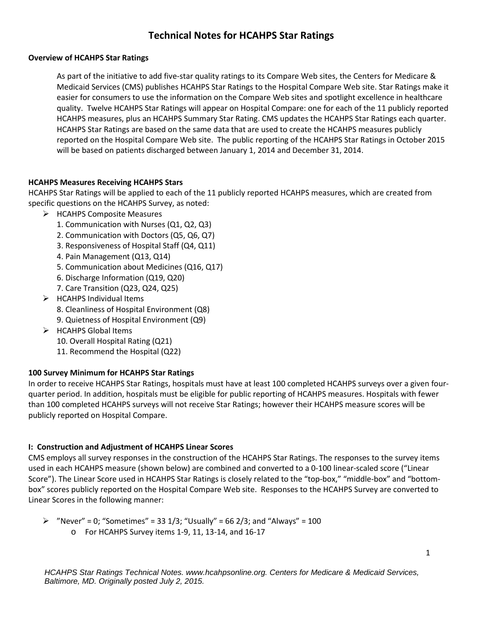# **Technical Notes for HCAHPS Star Ratings**

#### **Overview of HCAHPS Star Ratings**

As part of the initiative to add five-star quality ratings to its Compare Web sites, the Centers for Medicare & Medicaid Services (CMS) publishes HCAHPS Star Ratings to the Hospital Compare Web site. Star Ratings make it easier for consumers to use the information on the Compare Web sites and spotlight excellence in healthcare quality. Twelve HCAHPS Star Ratings will appear on Hospital Compare: one for each of the 11 publicly reported HCAHPS measures, plus an HCAHPS Summary Star Rating. CMS updates the HCAHPS Star Ratings each quarter. HCAHPS Star Ratings are based on the same data that are used to create the HCAHPS measures publicly reported on the Hospital Compare Web site. The public reporting of the HCAHPS Star Ratings in October 2015 will be based on patients discharged between January 1, 2014 and December 31, 2014.

#### **HCAHPS Measures Receiving HCAHPS Stars**

HCAHPS Star Ratings will be applied to each of the 11 publicly reported HCAHPS measures, which are created from specific questions on the HCAHPS Survey, as noted:

- $\triangleright$  HCAHPS Composite Measures
	- 1. Communication with Nurses (Q1, Q2, Q3)
	- 2. Communication with Doctors (Q5, Q6, Q7)
	- 3. Responsiveness of Hospital Staff (Q4, Q11)
	- 4. Pain Management (Q13, Q14)
	- 5. Communication about Medicines (Q16, Q17)
	- 6. Discharge Information (Q19, Q20)
	- 7. Care Transition (Q23, Q24, Q25)
- $\triangleright$  HCAHPS Individual Items
	- 8. Cleanliness of Hospital Environment (Q8)
	- 9. Quietness of Hospital Environment (Q9)
- $\triangleright$  HCAHPS Global Items
	- 10. Overall Hospital Rating (Q21)
	- 11. Recommend the Hospital (Q22)

## **100 Survey Minimum for HCAHPS Star Ratings**

In order to receive HCAHPS Star Ratings, hospitals must have at least 100 completed HCAHPS surveys over a given fourquarter period. In addition, hospitals must be eligible for public reporting of HCAHPS measures. Hospitals with fewer than 100 completed HCAHPS surveys will not receive Star Ratings; however their HCAHPS measure scores will be publicly reported on Hospital Compare.

#### **I: Construction and Adjustment of HCAHPS Linear Scores**

CMS employs all survey responses in the construction of the HCAHPS Star Ratings. The responses to the survey items used in each HCAHPS measure (shown below) are combined and converted to a 0-100 linear-scaled score ("Linear Score"). The Linear Score used in HCAHPS Star Ratings is closely related to the "top-box," "middle-box" and "bottombox" scores publicly reported on the Hospital Compare Web site. Responses to the HCAHPS Survey are converted to Linear Scores in the following manner:

 $\triangleright$  "Never" = 0; "Sometimes" = 33 1/3; "Usually" = 66 2/3; and "Always" = 100 o For HCAHPS Survey items 1-9, 11, 13-14, and 16-17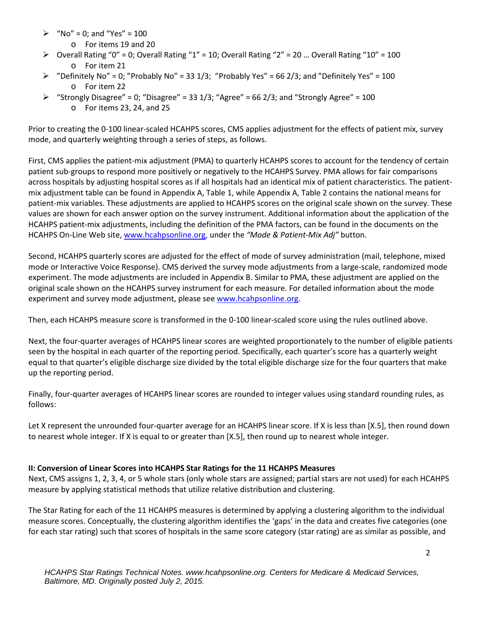- $\triangleright$  "No" = 0; and "Yes" = 100
	- o For items 19 and 20
- $\triangleright$  Overall Rating "0" = 0; Overall Rating "1" = 10; Overall Rating "2" = 20 ... Overall Rating "10" = 100 o For item 21
- $\triangleright$  "Definitely No" = 0; "Probably No" = 33 1/3; "Probably Yes" = 66 2/3; and "Definitely Yes" = 100 o For item 22
- $\triangleright$  "Strongly Disagree" = 0; "Disagree" = 33 1/3; "Agree" = 66 2/3; and "Strongly Agree" = 100 o For items 23, 24, and 25

Prior to creating the 0-100 linear-scaled HCAHPS scores, CMS applies adjustment for the effects of patient mix, survey mode, and quarterly weighting through a series of steps, as follows.

First, CMS applies the patient-mix adjustment (PMA) to quarterly HCAHPS scores to account for the tendency of certain patient sub-groups to respond more positively or negatively to the HCAHPS Survey. PMA allows for fair comparisons across hospitals by adjusting hospital scores as if all hospitals had an identical mix of patient characteristics. The patientmix adjustment table can be found in Appendix A, Table 1, while Appendix A, Table 2 contains the national means for patient-mix variables. These adjustments are applied to HCAHPS scores on the original scale shown on the survey. These values are shown for each answer option on the survey instrument. Additional information about the application of the HCAHPS patient-mix adjustments, including the definition of the PMA factors, can be found in the documents on the HCAHPS On-Line Web site, [www.hcahpsonline.org,](http://www.hcahpsonline.org/) under the *"Mode & Patient-Mix Adj"* button.

Second, HCAHPS quarterly scores are adjusted for the effect of mode of survey administration (mail, telephone, mixed mode or Interactive Voice Response). CMS derived the survey mode adjustments from a large-scale, randomized mode experiment. The mode adjustments are included in Appendix B. Similar to PMA, these adjustment are applied on the original scale shown on the HCAHPS survey instrument for each measure. For detailed information about the mode experiment and survey mode adjustment, please see [www.hcahpsonline.org.](http://www.hcahpsonline.org/)

Then, each HCAHPS measure score is transformed in the 0-100 linear-scaled score using the rules outlined above.

Next, the four-quarter averages of HCAHPS linear scores are weighted proportionately to the number of eligible patients seen by the hospital in each quarter of the reporting period. Specifically, each quarter's score has a quarterly weight equal to that quarter's eligible discharge size divided by the total eligible discharge size for the four quarters that make up the reporting period.

Finally, four-quarter averages of HCAHPS linear scores are rounded to integer values using standard rounding rules, as follows:

Let X represent the unrounded four-quarter average for an HCAHPS linear score. If X is less than [X.5], then round down to nearest whole integer. If X is equal to or greater than [X.5], then round up to nearest whole integer.

#### **II: Conversion of Linear Scores into HCAHPS Star Ratings for the 11 HCAHPS Measures**

Next, CMS assigns 1, 2, 3, 4, or 5 whole stars (only whole stars are assigned; partial stars are not used) for each HCAHPS measure by applying statistical methods that utilize relative distribution and clustering.

The Star Rating for each of the 11 HCAHPS measures is determined by applying a clustering algorithm to the individual measure scores. Conceptually, the clustering algorithm identifies the 'gaps' in the data and creates five categories (one for each star rating) such that scores of hospitals in the same score category (star rating) are as similar as possible, and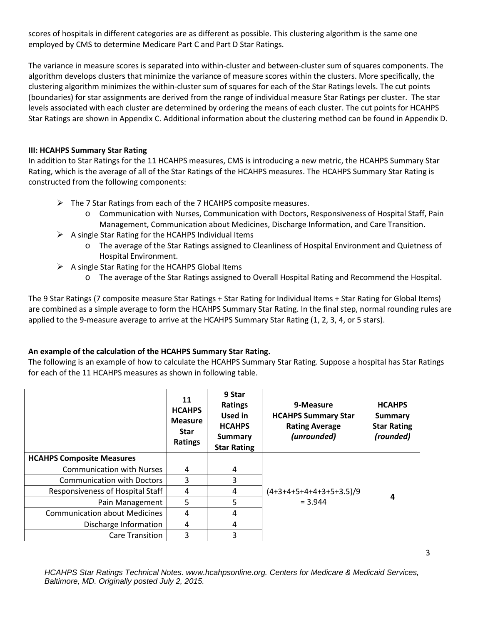scores of hospitals in different categories are as different as possible. This clustering algorithm is the same one employed by CMS to determine Medicare Part C and Part D Star Ratings.

The variance in measure scores is separated into within-cluster and between-cluster sum of squares components. The algorithm develops clusters that minimize the variance of measure scores within the clusters. More specifically, the clustering algorithm minimizes the within-cluster sum of squares for each of the Star Ratings levels. The cut points (boundaries) for star assignments are derived from the range of individual measure Star Ratings per cluster. The star levels associated with each cluster are determined by ordering the means of each cluster. The cut points for HCAHPS Star Ratings are shown in Appendix C. Additional information about the clustering method can be found in Appendix D.

#### **III: HCAHPS Summary Star Rating**

In addition to Star Ratings for the 11 HCAHPS measures, CMS is introducing a new metric, the HCAHPS Summary Star Rating, which is the average of all of the Star Ratings of the HCAHPS measures. The HCAHPS Summary Star Rating is constructed from the following components:

- $\triangleright$  The 7 Star Ratings from each of the 7 HCAHPS composite measures.
	- o Communication with Nurses, Communication with Doctors, Responsiveness of Hospital Staff, Pain Management, Communication about Medicines, Discharge Information, and Care Transition.
- $\triangleright$  A single Star Rating for the HCAHPS Individual Items
	- o The average of the Star Ratings assigned to Cleanliness of Hospital Environment and Quietness of Hospital Environment.
- $\triangleright$  A single Star Rating for the HCAHPS Global Items
	- o The average of the Star Ratings assigned to Overall Hospital Rating and Recommend the Hospital.

The 9 Star Ratings (7 composite measure Star Ratings + Star Rating for Individual Items + Star Rating for Global Items) are combined as a simple average to form the HCAHPS Summary Star Rating. In the final step, normal rounding rules are applied to the 9-measure average to arrive at the HCAHPS Summary Star Rating (1, 2, 3, 4, or 5 stars).

## **An example of the calculation of the HCAHPS Summary Star Rating.**

The following is an example of how to calculate the HCAHPS Summary Star Rating. Suppose a hospital has Star Ratings for each of the 11 HCAHPS measures as shown in following table.

|                                      | 11<br><b>HCAHPS</b><br><b>Measure</b><br><b>Star</b><br><b>Ratings</b> | 9 Star<br><b>Ratings</b><br>Used in<br><b>HCAHPS</b><br><b>Summary</b><br><b>Star Rating</b> | 9-Measure<br><b>HCAHPS Summary Star</b><br><b>Rating Average</b><br>(unrounded) | <b>HCAHPS</b><br>Summary<br><b>Star Rating</b><br>(rounded) |
|--------------------------------------|------------------------------------------------------------------------|----------------------------------------------------------------------------------------------|---------------------------------------------------------------------------------|-------------------------------------------------------------|
| <b>HCAHPS Composite Measures</b>     |                                                                        |                                                                                              |                                                                                 |                                                             |
| <b>Communication with Nurses</b>     | 4                                                                      | 4                                                                                            |                                                                                 |                                                             |
| <b>Communication with Doctors</b>    | 3                                                                      | 3                                                                                            |                                                                                 |                                                             |
| Responsiveness of Hospital Staff     | 4                                                                      | 4                                                                                            | $(4+3+4+5+4+4+3+5+3.5)/9$                                                       | 4                                                           |
| Pain Management                      | 5                                                                      | 5.                                                                                           | $= 3.944$                                                                       |                                                             |
| <b>Communication about Medicines</b> | 4                                                                      | 4                                                                                            |                                                                                 |                                                             |
| Discharge Information                | 4                                                                      | 4                                                                                            |                                                                                 |                                                             |
| Care Transition                      | 3                                                                      | 3                                                                                            |                                                                                 |                                                             |

*HCAHPS Star Ratings Technical Notes. www.hcahpsonline.org. Centers for Medicare & Medicaid Services, Baltimore, MD. Originally posted July 2, 2015.*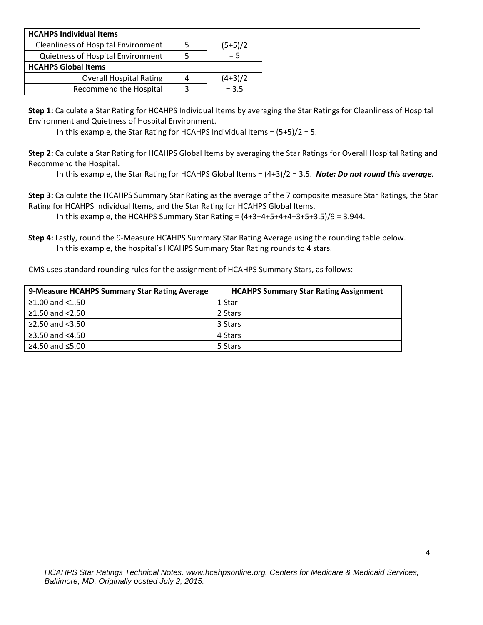| <b>HCAHPS Individual Items</b>      |   |           |
|-------------------------------------|---|-----------|
| Cleanliness of Hospital Environment |   | $(5+5)/2$ |
| Quietness of Hospital Environment   |   | $= 5$     |
| <b>HCAHPS Global Items</b>          |   |           |
| <b>Overall Hospital Rating</b>      | 4 | $(4+3)/2$ |
| <b>Recommend the Hospital</b>       |   | $= 3.5$   |

**Step 1:** Calculate a Star Rating for HCAHPS Individual Items by averaging the Star Ratings for Cleanliness of Hospital Environment and Quietness of Hospital Environment.

In this example, the Star Rating for HCAHPS Individual Items = (5+5)/2 = 5.

**Step 2:** Calculate a Star Rating for HCAHPS Global Items by averaging the Star Ratings for Overall Hospital Rating and Recommend the Hospital.

In this example, the Star Rating for HCAHPS Global Items = (4+3)/2 = 3.5. *Note: Do not round this average.*

**Step 3:** Calculate the HCAHPS Summary Star Rating as the average of the 7 composite measure Star Ratings, the Star Rating for HCAHPS Individual Items, and the Star Rating for HCAHPS Global Items.

In this example, the HCAHPS Summary Star Rating =  $(4+3+4+5+4+4+3+5+3.5)/9 = 3.944$ .

**Step 4:** Lastly, round the 9-Measure HCAHPS Summary Star Rating Average using the rounding table below. In this example, the hospital's HCAHPS Summary Star Rating rounds to 4 stars.

CMS uses standard rounding rules for the assignment of HCAHPS Summary Stars, as follows:

| 9-Measure HCAHPS Summary Star Rating Average | <b>HCAHPS Summary Star Rating Assignment</b> |
|----------------------------------------------|----------------------------------------------|
| ≥1.00 and $<$ 1.50                           | 1 Star                                       |
| ≥1.50 and <2.50                              | 2 Stars                                      |
| ≥2.50 and $<3.50$                            | 3 Stars                                      |
| ≥3.50 and $<4.50$                            | 4 Stars                                      |
| ≥4.50 and $≤5.00$                            | 5 Stars                                      |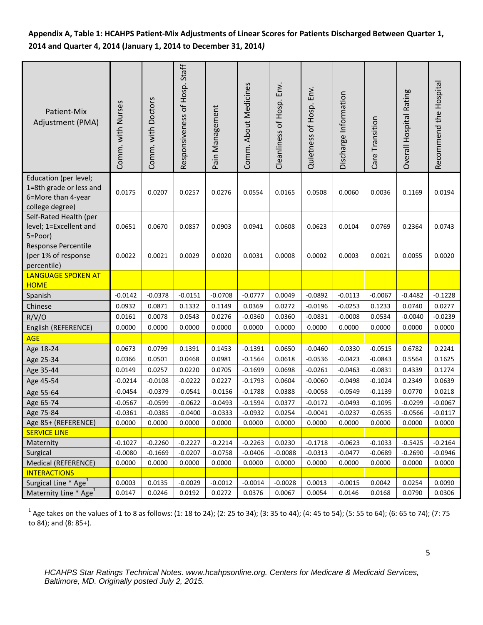# **Appendix A, Table 1: HCAHPS Patient-Mix Adjustments of Linear Scores for Patients Discharged Between Quarter 1, 2014 and Quarter 4, 2014 (January 1, 2014 to December 31, 2014***)*

| Patient-Mix<br>Adjustment (PMA)                                                           | Comm. with Nurses | Comm. with Doctors | Responsiveness of Hosp. Staff | Pain Management | Comm. About Medicines | Cleanliness of Hosp. Env. | Quietness of Hosp. Env. | Discharge Information | Care Transition | Overall Hospital Rating | Recommend the Hospital |
|-------------------------------------------------------------------------------------------|-------------------|--------------------|-------------------------------|-----------------|-----------------------|---------------------------|-------------------------|-----------------------|-----------------|-------------------------|------------------------|
| Education (per level;<br>1=8th grade or less and<br>6=More than 4-year<br>college degree) | 0.0175            | 0.0207             | 0.0257                        | 0.0276          | 0.0554                | 0.0165                    | 0.0508                  | 0.0060                | 0.0036          | 0.1169                  | 0.0194                 |
| Self-Rated Health (per<br>level; 1=Excellent and<br>5=Poor)                               | 0.0651            | 0.0670             | 0.0857                        | 0.0903          | 0.0941                | 0.0608                    | 0.0623                  | 0.0104                | 0.0769          | 0.2364                  | 0.0743                 |
| Response Percentile<br>(per 1% of response<br>percentile)                                 | 0.0022            | 0.0021             | 0.0029                        | 0.0020          | 0.0031                | 0.0008                    | 0.0002                  | 0.0003                | 0.0021          | 0.0055                  | 0.0020                 |
| <b>LANGUAGE SPOKEN AT</b><br><b>HOME</b>                                                  |                   |                    |                               |                 |                       |                           |                         |                       |                 |                         |                        |
| Spanish                                                                                   | $-0.0142$         | $-0.0378$          | $-0.0151$                     | $-0.0708$       | $-0.0777$             | 0.0049                    | $-0.0892$               | $-0.0113$             | $-0.0067$       | $-0.4482$               | $-0.1228$              |
| Chinese                                                                                   | 0.0932            | 0.0871             | 0.1332                        | 0.1149          | 0.0369                | 0.0272                    | $-0.0196$               | $-0.0253$             | 0.1233          | 0.0740                  | 0.0277                 |
| R/V/O                                                                                     | 0.0161            | 0.0078             | 0.0543                        | 0.0276          | $-0.0360$             | 0.0360                    | $-0.0831$               | $-0.0008$             | 0.0534          | $-0.0040$               | $-0.0239$              |
| English (REFERENCE)                                                                       | 0.0000            | 0.0000             | 0.0000                        | 0.0000          | 0.0000                | 0.0000                    | 0.0000                  | 0.0000                | 0.0000          | 0.0000                  | 0.0000                 |
| <b>AGE</b>                                                                                |                   |                    |                               |                 |                       |                           |                         |                       |                 |                         |                        |
| Age 18-24                                                                                 | 0.0673            | 0.0799             | 0.1391                        | 0.1453          | $-0.1391$             | 0.0650                    | $-0.0460$               | $-0.0330$             | $-0.0515$       | 0.6782                  | 0.2241                 |
| Age 25-34                                                                                 | 0.0366            | 0.0501             | 0.0468                        | 0.0981          | $-0.1564$             | 0.0618                    | $-0.0536$               | $-0.0423$             | $-0.0843$       | 0.5564                  | 0.1625                 |
| Age 35-44                                                                                 | 0.0149            | 0.0257             | 0.0220                        | 0.0705          | $-0.1699$             | 0.0698                    | $-0.0261$               | $-0.0463$             | $-0.0831$       | 0.4339                  | 0.1274                 |
| Age 45-54                                                                                 | $-0.0214$         | $-0.0108$          | $-0.0222$                     | 0.0227          | $-0.1793$             | 0.0604                    | $-0.0060$               | $-0.0498$             | $-0.1024$       | 0.2349                  | 0.0639                 |
| Age 55-64                                                                                 | $-0.0454$         | $-0.0379$          | $-0.0541$                     | $-0.0156$       | $-0.1788$             | 0.0388                    | $-0.0058$               | $-0.0549$             | $-0.1139$       | 0.0770                  | 0.0218                 |
| Age 65-74                                                                                 | $-0.0567$         | $-0.0599$          | $-0.0622$                     | $-0.0493$       | $-0.1594$             | 0.0377                    | $-0.0172$               | $-0.0493$             | $-0.1095$       | $-0.0299$               | $-0.0067$              |
| Age 75-84                                                                                 | $-0.0361$         | $-0.0385$          | $-0.0400$                     | $-0.0333$       | $-0.0932$             | 0.0254                    | $-0.0041$               | $-0.0237$             | $-0.0535$       | $-0.0566$               | $-0.0117$              |
| Age 85+ (REFERENCE)                                                                       | 0.0000            | 0.0000             | 0.0000                        | 0.0000          | 0.0000                | 0.0000                    | 0.0000                  | 0.0000                | 0.0000          | 0.0000                  | 0.0000                 |
| <b>SERVICE LINE</b>                                                                       |                   |                    |                               |                 |                       |                           |                         |                       |                 |                         |                        |
| Maternity                                                                                 | $-0.1027$         | $-0.2260$          | $-0.2227$                     | $-0.2214$       | $-0.2263$             | 0.0230                    | $-0.1718$               | $-0.0623$             | $-0.1033$       | $-0.5425$               | $-0.2164$              |
| Surgical                                                                                  | $-0.0080$         | $-0.1669$          | $-0.0207$                     | $-0.0758$       | $-0.0406$             | $-0.0088$                 | $-0.0313$               | $-0.0477$             | $-0.0689$       | $-0.2690$               | $-0.0946$              |
| Medical (REFERENCE)                                                                       | 0.0000            | 0.0000             | 0.0000                        | 0.0000          | 0.0000                | 0.0000                    | 0.0000                  | 0.0000                | 0.0000          | 0.0000                  | 0.0000                 |
| <b>INTERACTIONS</b>                                                                       |                   |                    |                               |                 |                       |                           |                         |                       |                 |                         |                        |
| Surgical Line * Age <sup>1</sup>                                                          | 0.0003            | 0.0135             | $-0.0029$                     | $-0.0012$       | $-0.0014$             | $-0.0028$                 | 0.0013                  | $-0.0015$             | 0.0042          | 0.0254                  | 0.0090                 |
| Maternity Line * Age <sup>1</sup>                                                         | 0.0147            | 0.0246             | 0.0192                        | 0.0272          | 0.0376                | 0.0067                    | 0.0054                  | 0.0146                | 0.0168          | 0.0790                  | 0.0306                 |

 $1$  Age takes on the values of 1 to 8 as follows: (1: 18 to 24); (2: 25 to 34); (3: 35 to 44); (4: 45 to 54); (5: 55 to 64); (6: 65 to 74); (7: 75 to 84); and (8: 85+).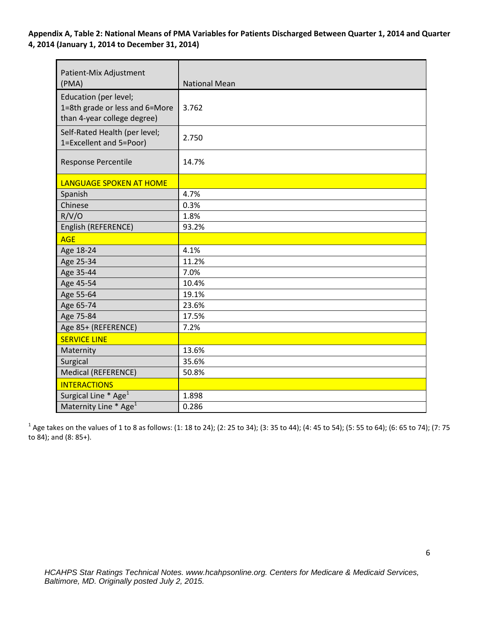**Appendix A, Table 2: National Means of PMA Variables for Patients Discharged Between Quarter 1, 2014 and Quarter 4, 2014 (January 1, 2014 to December 31, 2014)**

| Patient-Mix Adjustment<br>(PMA)                                                        | <b>National Mean</b> |
|----------------------------------------------------------------------------------------|----------------------|
| Education (per level;<br>1=8th grade or less and 6=More<br>than 4-year college degree) | 3.762                |
| Self-Rated Health (per level;<br>1=Excellent and 5=Poor)                               | 2.750                |
| Response Percentile                                                                    | 14.7%                |
| <b>LANGUAGE SPOKEN AT HOME</b>                                                         |                      |
| Spanish                                                                                | 4.7%                 |
| Chinese                                                                                | 0.3%                 |
| R/V/O                                                                                  | 1.8%                 |
| English (REFERENCE)                                                                    | 93.2%                |
| <b>AGE</b>                                                                             |                      |
| Age 18-24                                                                              | 4.1%                 |
| Age 25-34                                                                              | 11.2%                |
| Age 35-44                                                                              | 7.0%                 |
| Age 45-54                                                                              | 10.4%                |
| Age 55-64                                                                              | 19.1%                |
| Age 65-74                                                                              | 23.6%                |
| Age 75-84                                                                              | 17.5%                |
| Age 85+ (REFERENCE)                                                                    | 7.2%                 |
| <b>SERVICE LINE</b>                                                                    |                      |
| Maternity                                                                              | 13.6%                |
| Surgical                                                                               | 35.6%                |
| Medical (REFERENCE)                                                                    | 50.8%                |
| <b>INTERACTIONS</b>                                                                    |                      |
| Surgical Line * Age <sup>1</sup>                                                       | 1.898                |
| Maternity Line * Age <sup>1</sup>                                                      | 0.286                |

 $1$  Age takes on the values of 1 to 8 as follows: (1: 18 to 24); (2: 25 to 34); (3: 35 to 44); (4: 45 to 54); (5: 55 to 64); (6: 65 to 74); (7: 75 to 84); and (8: 85+).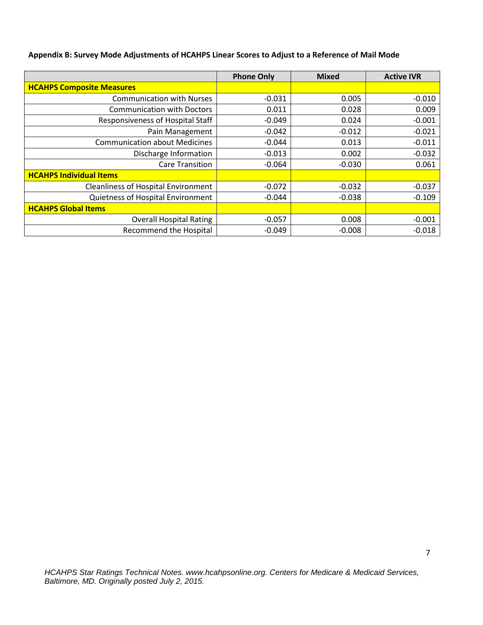|  | Appendix B: Survey Mode Adjustments of HCAHPS Linear Scores to Adjust to a Reference of Mail Mode |  |  |  |
|--|---------------------------------------------------------------------------------------------------|--|--|--|
|--|---------------------------------------------------------------------------------------------------|--|--|--|

|                                            | <b>Phone Only</b> | <b>Mixed</b> | <b>Active IVR</b> |
|--------------------------------------------|-------------------|--------------|-------------------|
| <b>HCAHPS Composite Measures</b>           |                   |              |                   |
| <b>Communication with Nurses</b>           | $-0.031$          | 0.005        | $-0.010$          |
| <b>Communication with Doctors</b>          | 0.011             | 0.028        | 0.009             |
| Responsiveness of Hospital Staff           | $-0.049$          | 0.024        | $-0.001$          |
| Pain Management                            | $-0.042$          | $-0.012$     | $-0.021$          |
| <b>Communication about Medicines</b>       | $-0.044$          | 0.013        | $-0.011$          |
| Discharge Information                      | $-0.013$          | 0.002        | $-0.032$          |
| <b>Care Transition</b>                     | $-0.064$          | $-0.030$     | 0.061             |
| <b>HCAHPS Individual Items</b>             |                   |              |                   |
| <b>Cleanliness of Hospital Environment</b> | $-0.072$          | $-0.032$     | $-0.037$          |
| Quietness of Hospital Environment          | $-0.044$          | $-0.038$     | $-0.109$          |
| <b>HCAHPS Global Items</b>                 |                   |              |                   |
| <b>Overall Hospital Rating</b>             | $-0.057$          | 0.008        | $-0.001$          |
| Recommend the Hospital                     | $-0.049$          | $-0.008$     | $-0.018$          |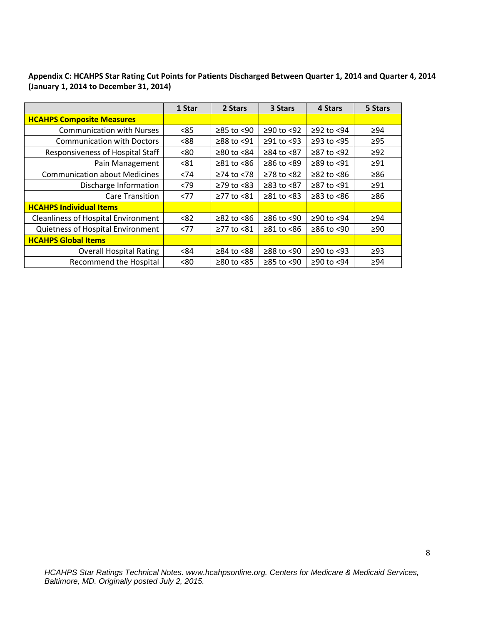| Appendix C: HCAHPS Star Rating Cut Points for Patients Discharged Between Quarter 1, 2014 and Quarter 4, 2014 |  |
|---------------------------------------------------------------------------------------------------------------|--|
| (January 1, 2014 to December 31, 2014)                                                                        |  |

|                                            | 1 Star | 2 Stars          | 3 Stars          | 4 Stars                | 5 Stars   |
|--------------------------------------------|--------|------------------|------------------|------------------------|-----------|
| <b>HCAHPS Composite Measures</b>           |        |                  |                  |                        |           |
| <b>Communication with Nurses</b>           | < 85   | $≥85$ to <90     | $≥90$ to <92     | $≥92$ to <94           | ≥94       |
| <b>Communication with Doctors</b>          | < 88   | ≥88 to <91       | $≥91$ to <93     | $≥93$ to $<95$         | $\geq$ 95 |
| Responsiveness of Hospital Staff           | < 80   | $≥80$ to <84     | ≥84 to <87       | $≥87$ to <92           | $\geq$ 92 |
| Pain Management                            | < 81   | $\geq 81$ to <86 | $≥86$ to <89     | ≥89 to <91             | $\geq$ 91 |
| <b>Communication about Medicines</b>       | < 74   | $≥74$ to <78     | $≥78$ to $≤82$   | $\geq 82$ to $\leq 86$ | $\geq 86$ |
| Discharge Information                      | < 79   | $\geq$ 79 to <83 | $≥83$ to $<87$   | $≥87$ to <91           | $\geq 91$ |
| <b>Care Transition</b>                     | <77    | ≥77 to <81       | $\geq 81$ to <83 | $\geq$ 83 to <86       | ≥86       |
| <b>HCAHPS Individual Items</b>             |        |                  |                  |                        |           |
| <b>Cleanliness of Hospital Environment</b> | < 82   | $≥82$ to $<86$   | ≥86 to <90       | ≥90 to <94             | ≥94       |
| Quietness of Hospital Environment          | <77    | ≥77 to <81       | $\geq 81$ to <86 | $≥86$ to <90           | $\geq 90$ |
| <b>HCAHPS Global Items</b>                 |        |                  |                  |                        |           |
| <b>Overall Hospital Rating</b>             | <84    | ≥84 to <88       | $≥88$ to <90     | $≥90$ to <93           | $\geq$ 93 |
| <b>Recommend the Hospital</b>              | < 80   | $≥80$ to <85     | $≥85$ to <90     | ≥90 to <94             | $\geq 94$ |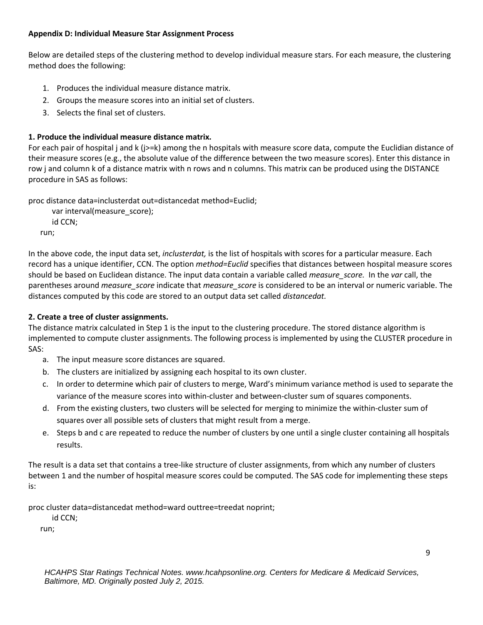#### **Appendix D: Individual Measure Star Assignment Process**

Below are detailed steps of the clustering method to develop individual measure stars. For each measure, the clustering method does the following:

- 1. Produces the individual measure distance matrix.
- 2. Groups the measure scores into an initial set of clusters.
- 3. Selects the final set of clusters.

# **1. Produce the individual measure distance matrix.**

For each pair of hospital j and k (j>=k) among the n hospitals with measure score data, compute the Euclidian distance of their measure scores (e.g., the absolute value of the difference between the two measure scores). Enter this distance in row j and column k of a distance matrix with n rows and n columns. This matrix can be produced using the DISTANCE procedure in SAS as follows:

proc distance data=inclusterdat out=distancedat method=Euclid;

 var interval(measure\_score); id CCN; run;

In the above code, the input data set, *inclusterdat,* is the list of hospitals with scores for a particular measure. Each record has a unique identifier, CCN. The option *method=Euclid* specifies that distances between hospital measure scores should be based on Euclidean distance. The input data contain a variable called *measure\_score.* In the *var* call, the parentheses around *measure\_score* indicate that *measure\_score* is considered to be an interval or numeric variable. The distances computed by this code are stored to an output data set called *distancedat.*

# **2. Create a tree of cluster assignments.**

The distance matrix calculated in Step 1 is the input to the clustering procedure. The stored distance algorithm is implemented to compute cluster assignments. The following process is implemented by using the CLUSTER procedure in SAS:

- a. The input measure score distances are squared.
- b. The clusters are initialized by assigning each hospital to its own cluster.
- c. In order to determine which pair of clusters to merge, Ward's minimum variance method is used to separate the variance of the measure scores into within-cluster and between-cluster sum of squares components.
- d. From the existing clusters, two clusters will be selected for merging to minimize the within-cluster sum of squares over all possible sets of clusters that might result from a merge.
- e. Steps b and c are repeated to reduce the number of clusters by one until a single cluster containing all hospitals results.

The result is a data set that contains a tree-like structure of cluster assignments, from which any number of clusters between 1 and the number of hospital measure scores could be computed. The SAS code for implementing these steps is:

proc cluster data=distancedat method=ward outtree=treedat noprint;

id CCN;

run;